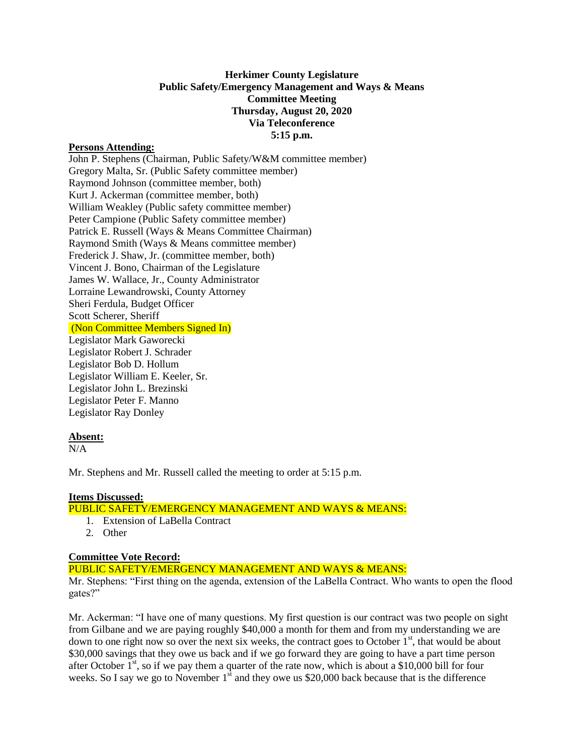## **Herkimer County Legislature Public Safety/Emergency Management and Ways & Means Committee Meeting Thursday, August 20, 2020 Via Teleconference 5:15 p.m.**

## **Persons Attending:**

John P. Stephens (Chairman, Public Safety/W&M committee member) Gregory Malta, Sr. (Public Safety committee member) Raymond Johnson (committee member, both) Kurt J. Ackerman (committee member, both) William Weakley (Public safety committee member) Peter Campione (Public Safety committee member) Patrick E. Russell (Ways & Means Committee Chairman) Raymond Smith (Ways & Means committee member) Frederick J. Shaw, Jr. (committee member, both) Vincent J. Bono, Chairman of the Legislature James W. Wallace, Jr., County Administrator Lorraine Lewandrowski, County Attorney Sheri Ferdula, Budget Officer Scott Scherer, Sheriff (Non Committee Members Signed In) Legislator Mark Gaworecki Legislator Robert J. Schrader Legislator Bob D. Hollum Legislator William E. Keeler, Sr. Legislator John L. Brezinski Legislator Peter F. Manno Legislator Ray Donley

## **Absent:**

 $N/A$ 

Mr. Stephens and Mr. Russell called the meeting to order at 5:15 p.m.

#### **Items Discussed:**

# PUBLIC SAFETY/EMERGENCY MANAGEMENT AND WAYS & MEANS:

- 1. Extension of LaBella Contract
- 2. Other

## **Committee Vote Record:**

PUBLIC SAFETY/EMERGENCY MANAGEMENT AND WAYS & MEANS:

Mr. Stephens: "First thing on the agenda, extension of the LaBella Contract. Who wants to open the flood gates?"

Mr. Ackerman: "I have one of many questions. My first question is our contract was two people on sight from Gilbane and we are paying roughly \$40,000 a month for them and from my understanding we are down to one right now so over the next six weeks, the contract goes to October 1<sup>st</sup>, that would be about \$30,000 savings that they owe us back and if we go forward they are going to have a part time person after October  $1<sup>st</sup>$ , so if we pay them a quarter of the rate now, which is about a \$10,000 bill for four weeks. So I say we go to November  $1<sup>st</sup>$  and they owe us \$20,000 back because that is the difference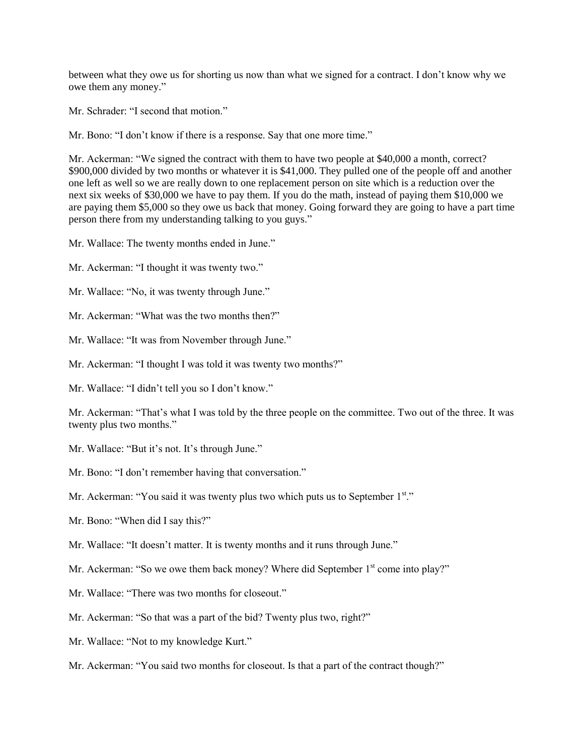between what they owe us for shorting us now than what we signed for a contract. I don't know why we owe them any money."

Mr. Schrader: "I second that motion."

Mr. Bono: "I don't know if there is a response. Say that one more time."

Mr. Ackerman: "We signed the contract with them to have two people at \$40,000 a month, correct? \$900,000 divided by two months or whatever it is \$41,000. They pulled one of the people off and another one left as well so we are really down to one replacement person on site which is a reduction over the next six weeks of \$30,000 we have to pay them. If you do the math, instead of paying them \$10,000 we are paying them \$5,000 so they owe us back that money. Going forward they are going to have a part time person there from my understanding talking to you guys."

Mr. Wallace: The twenty months ended in June."

Mr. Ackerman: "I thought it was twenty two."

Mr. Wallace: "No, it was twenty through June."

Mr. Ackerman: "What was the two months then?"

Mr. Wallace: "It was from November through June."

Mr. Ackerman: "I thought I was told it was twenty two months?"

Mr. Wallace: "I didn't tell you so I don't know."

Mr. Ackerman: "That's what I was told by the three people on the committee. Two out of the three. It was twenty plus two months."

Mr. Wallace: "But it's not. It's through June."

Mr. Bono: "I don't remember having that conversation."

Mr. Ackerman: "You said it was twenty plus two which puts us to September 1st."

Mr. Bono: "When did I say this?"

Mr. Wallace: "It doesn't matter. It is twenty months and it runs through June."

Mr. Ackerman: "So we owe them back money? Where did September 1<sup>st</sup> come into play?"

Mr. Wallace: "There was two months for closeout."

Mr. Ackerman: "So that was a part of the bid? Twenty plus two, right?"

Mr. Wallace: "Not to my knowledge Kurt."

Mr. Ackerman: "You said two months for closeout. Is that a part of the contract though?"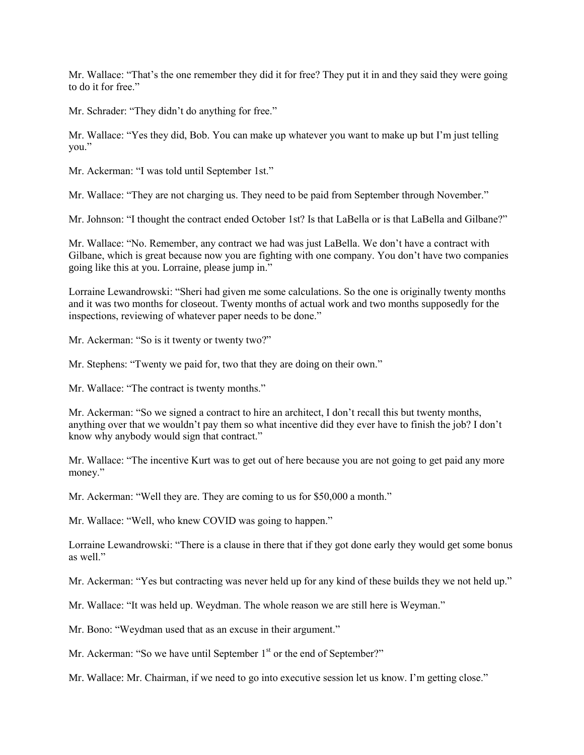Mr. Wallace: "That's the one remember they did it for free? They put it in and they said they were going to do it for free."

Mr. Schrader: "They didn't do anything for free."

Mr. Wallace: "Yes they did, Bob. You can make up whatever you want to make up but I'm just telling you."

Mr. Ackerman: "I was told until September 1st."

Mr. Wallace: "They are not charging us. They need to be paid from September through November."

Mr. Johnson: "I thought the contract ended October 1st? Is that LaBella or is that LaBella and Gilbane?"

Mr. Wallace: "No. Remember, any contract we had was just LaBella. We don't have a contract with Gilbane, which is great because now you are fighting with one company. You don't have two companies going like this at you. Lorraine, please jump in."

Lorraine Lewandrowski: "Sheri had given me some calculations. So the one is originally twenty months and it was two months for closeout. Twenty months of actual work and two months supposedly for the inspections, reviewing of whatever paper needs to be done."

Mr. Ackerman: "So is it twenty or twenty two?"

Mr. Stephens: "Twenty we paid for, two that they are doing on their own."

Mr. Wallace: "The contract is twenty months."

Mr. Ackerman: "So we signed a contract to hire an architect, I don't recall this but twenty months, anything over that we wouldn't pay them so what incentive did they ever have to finish the job? I don't know why anybody would sign that contract."

Mr. Wallace: "The incentive Kurt was to get out of here because you are not going to get paid any more money."

Mr. Ackerman: "Well they are. They are coming to us for \$50,000 a month."

Mr. Wallace: "Well, who knew COVID was going to happen."

Lorraine Lewandrowski: "There is a clause in there that if they got done early they would get some bonus as well."

Mr. Ackerman: "Yes but contracting was never held up for any kind of these builds they we not held up."

Mr. Wallace: "It was held up. Weydman. The whole reason we are still here is Weyman."

Mr. Bono: "Weydman used that as an excuse in their argument."

Mr. Ackerman: "So we have until September  $1<sup>st</sup>$  or the end of September?"

Mr. Wallace: Mr. Chairman, if we need to go into executive session let us know. I'm getting close."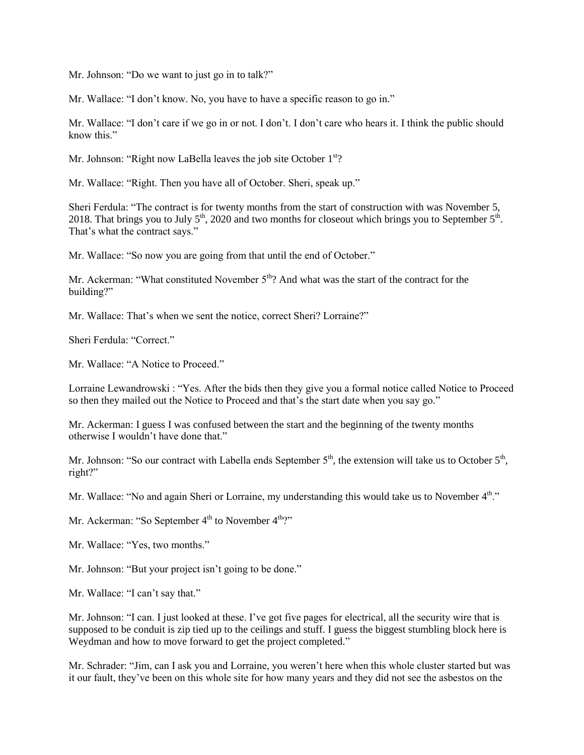Mr. Johnson: "Do we want to just go in to talk?"

Mr. Wallace: "I don't know. No, you have to have a specific reason to go in."

Mr. Wallace: "I don't care if we go in or not. I don't. I don't care who hears it. I think the public should know this."

Mr. Johnson: "Right now LaBella leaves the job site October 1<sup>st</sup>?

Mr. Wallace: "Right. Then you have all of October. Sheri, speak up."

Sheri Ferdula: "The contract is for twenty months from the start of construction with was November 5, 2018. That brings you to July  $5<sup>th</sup>$ , 2020 and two months for closeout which brings you to September  $5<sup>th</sup>$ . That's what the contract says."

Mr. Wallace: "So now you are going from that until the end of October."

Mr. Ackerman: "What constituted November  $5<sup>th</sup>$ ? And what was the start of the contract for the building?"

Mr. Wallace: That's when we sent the notice, correct Sheri? Lorraine?"

Sheri Ferdula: "Correct."

Mr. Wallace: "A Notice to Proceed."

Lorraine Lewandrowski : "Yes. After the bids then they give you a formal notice called Notice to Proceed so then they mailed out the Notice to Proceed and that's the start date when you say go."

Mr. Ackerman: I guess I was confused between the start and the beginning of the twenty months otherwise I wouldn't have done that."

Mr. Johnson: "So our contract with Labella ends September  $5<sup>th</sup>$ , the extension will take us to October  $5<sup>th</sup>$ , right?"

Mr. Wallace: "No and again Sheri or Lorraine, my understanding this would take us to November 4<sup>th</sup>."

Mr. Ackerman: "So September 4<sup>th</sup> to November 4<sup>th</sup>?"

Mr. Wallace: "Yes, two months."

Mr. Johnson: "But your project isn't going to be done."

Mr. Wallace: "I can't say that."

Mr. Johnson: "I can. I just looked at these. I've got five pages for electrical, all the security wire that is supposed to be conduit is zip tied up to the ceilings and stuff. I guess the biggest stumbling block here is Weydman and how to move forward to get the project completed."

Mr. Schrader: "Jim, can I ask you and Lorraine, you weren't here when this whole cluster started but was it our fault, they've been on this whole site for how many years and they did not see the asbestos on the